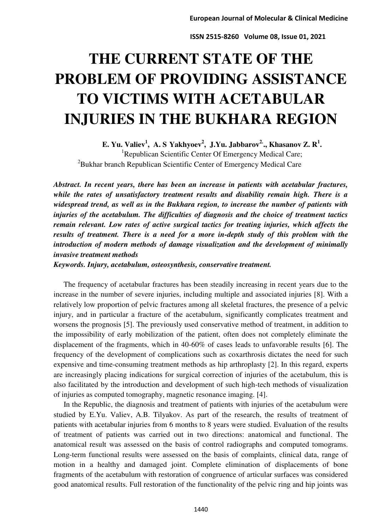# **THE CURRENT STATE OF THE PROBLEM OF PROVIDING ASSISTANCE TO VICTIMS WITH ACETABULAR INJURIES IN THE BUKHARA REGION**

**E. Yu. Valiev<sup>1</sup> , A. S Yakhyoev<sup>2</sup> , J.Yu. Jabbarov2.., Khasanov Z. R<sup>1</sup> .**  <sup>1</sup>Republican Scientific Center Of Emergency Medical Care; <sup>2</sup>Bukhar branch Republican Scientific Center of Emergency Medical Care

*Abstract. In recent years, there has been an increase in patients with acetabular fractures, while the rates of unsatisfactory treatment results and disability remain high. There is a widespread trend, as well as in the Bukhara region, to increase the number of patients with injuries of the acetabulum. The difficulties of diagnosis and the choice of treatment tactics remain relevant. Low rates of active surgical tactics for treating injuries, which affects the results of treatment. There is a need for a more in-depth study of this problem with the introduction of modern methods of damage visualization and the development of minimally invasive treatment methods* 

*Keywords. Injury, acetabulum, osteosynthesis, conservative treatment.* 

The frequency of acetabular fractures has been steadily increasing in recent years due to the increase in the number of severe injuries, including multiple and associated injuries [8]. With a relatively low proportion of pelvic fractures among all skeletal fractures, the presence of a pelvic injury, and in particular a fracture of the acetabulum, significantly complicates treatment and worsens the prognosis [5]. The previously used conservative method of treatment, in addition to the impossibility of early mobilization of the patient, often does not completely eliminate the displacement of the fragments, which in 40-60% of cases leads to unfavorable results [6]. The frequency of the development of complications such as coxarthrosis dictates the need for such expensive and time-consuming treatment methods as hip arthroplasty [2]. In this regard, experts are increasingly placing indications for surgical correction of injuries of the acetabulum, this is also facilitated by the introduction and development of such high-tech methods of visualization of injuries as computed tomography, magnetic resonance imaging. [4].

In the Republic, the diagnosis and treatment of patients with injuries of the acetabulum were studied by E.Yu. Valiev, A.B. Tilyakov. As part of the research, the results of treatment of patients with acetabular injuries from 6 months to 8 years were studied. Evaluation of the results of treatment of patients was carried out in two directions: anatomical and functional. The anatomical result was assessed on the basis of control radiographs and computed tomograms. Long-term functional results were assessed on the basis of complaints, clinical data, range of motion in a healthy and damaged joint. Complete elimination of displacements of bone fragments of the acetabulum with restoration of congruence of articular surfaces was considered good anatomical results. Full restoration of the functionality of the pelvic ring and hip joints was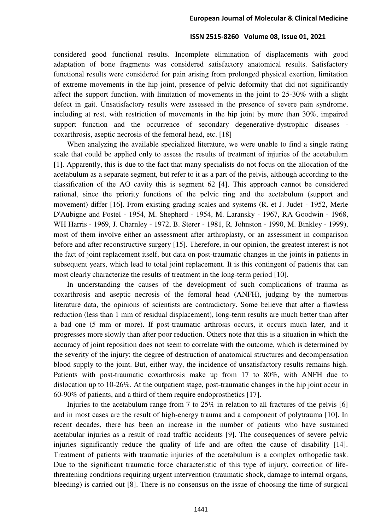considered good functional results. Incomplete elimination of displacements with good adaptation of bone fragments was considered satisfactory anatomical results. Satisfactory functional results were considered for pain arising from prolonged physical exertion, limitation of extreme movements in the hip joint, presence of pelvic deformity that did not significantly affect the support function, with limitation of movements in the joint to 25-30% with a slight defect in gait. Unsatisfactory results were assessed in the presence of severe pain syndrome, including at rest, with restriction of movements in the hip joint by more than 30%, impaired support function and the occurrence of secondary degenerative-dystrophic diseases coxarthrosis, aseptic necrosis of the femoral head, etc. [18]

When analyzing the available specialized literature, we were unable to find a single rating scale that could be applied only to assess the results of treatment of injuries of the acetabulum [1]. Apparently, this is due to the fact that many specialists do not focus on the allocation of the acetabulum as a separate segment, but refer to it as a part of the pelvis, although according to the classification of the AO cavity this is segment 62 [4]. This approach cannot be considered rational, since the priority functions of the pelvic ring and the acetabulum (support and movement) differ [16]. From existing grading scales and systems (R. et J. Judet - 1952, Merle D'Aubigne and Postel - 1954, M. Shepherd - 1954, M. Laransky - 1967, RA Goodwin - 1968, WH Harris - 1969, J. Charnley - 1972, B. Sterer - 1981, R. Johnston - 1990, M. Binkley - 1999), most of them involve either an assessment after arthroplasty, or an assessment in comparison before and after reconstructive surgery [15]. Therefore, in our opinion, the greatest interest is not the fact of joint replacement itself, but data on post-traumatic changes in the joints in patients in subsequent years, which lead to total joint replacement. It is this contingent of patients that can most clearly characterize the results of treatment in the long-term period [10].

In understanding the causes of the development of such complications of trauma as coxarthrosis and aseptic necrosis of the femoral head (ANFH), judging by the numerous literature data, the opinions of scientists are contradictory. Some believe that after a flawless reduction (less than 1 mm of residual displacement), long-term results are much better than after a bad one (5 mm or more). If post-traumatic arthrosis occurs, it occurs much later, and it progresses more slowly than after poor reduction. Others note that this is a situation in which the accuracy of joint reposition does not seem to correlate with the outcome, which is determined by the severity of the injury: the degree of destruction of anatomical structures and decompensation blood supply to the joint. But, either way, the incidence of unsatisfactory results remains high. Patients with post-traumatic coxarthrosis make up from 17 to 80%, with ANFH due to dislocation up to 10-26%. At the outpatient stage, post-traumatic changes in the hip joint occur in 60-90% of patients, and a third of them require endoprosthetics [17].

Injuries to the acetabulum range from 7 to 25% in relation to all fractures of the pelvis [6] and in most cases are the result of high-energy trauma and a component of polytrauma [10]. In recent decades, there has been an increase in the number of patients who have sustained acetabular injuries as a result of road traffic accidents [9]. The consequences of severe pelvic injuries significantly reduce the quality of life and are often the cause of disability [14]. Treatment of patients with traumatic injuries of the acetabulum is a complex orthopedic task. Due to the significant traumatic force characteristic of this type of injury, correction of lifethreatening conditions requiring urgent intervention (traumatic shock, damage to internal organs, bleeding) is carried out [8]. There is no consensus on the issue of choosing the time of surgical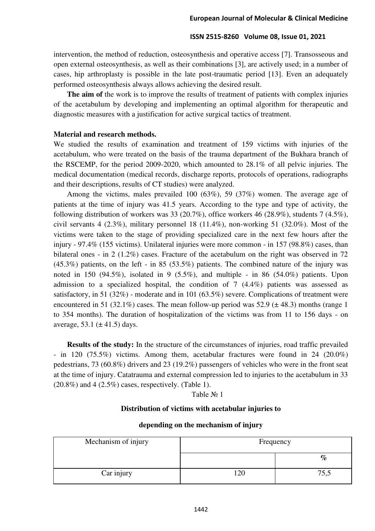intervention, the method of reduction, osteosynthesis and operative access [7]. Transosseous and open external osteosynthesis, as well as their combinations [3], are actively used; in a number of cases, hip arthroplasty is possible in the late post-traumatic period [13]. Even an adequately performed osteosynthesis always allows achieving the desired result.

**The aim of** the work is to improve the results of treatment of patients with complex injuries of the acetabulum by developing and implementing an optimal algorithm for therapeutic and diagnostic measures with a justification for active surgical tactics of treatment.

# **Material and research methods.**

We studied the results of examination and treatment of 159 victims with injuries of the acetabulum, who were treated on the basis of the trauma department of the Bukhara branch of the RSCEMP, for the period 2009-2020, which amounted to 28.1% of all pelvic injuries. The medical documentation (medical records, discharge reports, protocols of operations, radiographs and their descriptions, results of CT studies) were analyzed.

Among the victims, males prevailed 100 (63%), 59 (37%) women. The average age of patients at the time of injury was 41.5 years. According to the type and type of activity, the following distribution of workers was 33 (20.7%), office workers 46 (28.9%), students 7 (4.5%), civil servants 4  $(2.3\%)$ , military personnel 18  $(11.4\%)$ , non-working 51  $(32.0\%)$ . Most of the victims were taken to the stage of providing specialized care in the next few hours after the injury - 97.4% (155 victims). Unilateral injuries were more common - in 157 (98.8%) cases, than bilateral ones - in 2 (1.2%) cases. Fracture of the acetabulum on the right was observed in 72  $(45.3\%)$  patients, on the left - in 85 (53.5%) patients. The combined nature of the injury was noted in 150 (94.5%), isolated in 9 (5.5%), and multiple - in 86 (54.0%) patients. Upon admission to a specialized hospital, the condition of  $7 \ (4.4\%)$  patients was assessed as satisfactory, in 51 (32%) - moderate and in 101 (63.5%) severe. Complications of treatment were encountered in 51 (32.1%) cases. The mean follow-up period was 52.9 ( $\pm$  48.3) months (range 1 to 354 months). The duration of hospitalization of the victims was from 11 to 156 days - on average, 53.1  $(\pm 41.5)$  days.

**Results of the study:** In the structure of the circumstances of injuries, road traffic prevailed - in 120 (75.5%) victims. Among them, acetabular fractures were found in 24 (20.0%) pedestrians, 73 (60.8%) drivers and 23 (19.2%) passengers of vehicles who were in the front seat at the time of injury. Catatrauma and external compression led to injuries to the acetabulum in 33  $(20.8\%)$  and  $4$   $(2.5\%)$  cases, respectively. (Table 1).

# Table № 1

# **Distribution of victims with acetabular injuries to**

| Mechanism of injury | Frequency |      |  |
|---------------------|-----------|------|--|
|                     |           | $\%$ |  |
| Car injury          | 120       | 75,5 |  |

#### **depending on the mechanism of injury**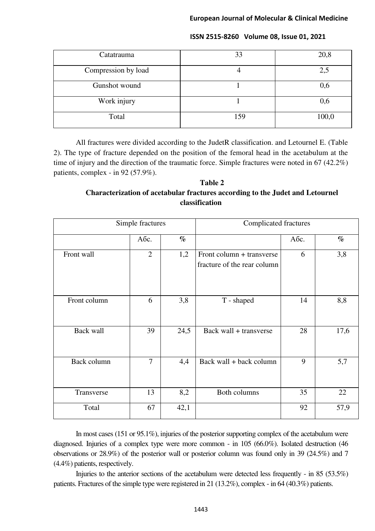| Catatrauma          | 33  | 20,8  |
|---------------------|-----|-------|
| Compression by load |     | 2,5   |
| Gunshot wound       |     | 0,6   |
| Work injury         |     | 0,6   |
| Total               | 159 | 100,0 |

All fractures were divided according to the JudetR classification. and Letournel E. (Table 2). The type of fracture depended on the position of the femoral head in the acetabulum at the time of injury and the direction of the traumatic force. Simple fractures were noted in 67 (42.2%) patients, complex - in 92 (57.9%).

# **Table 2 Characterization of acetabular fractures according to the Judet and Letournel classification**

| Simple fractures |                | <b>Complicated fractures</b> |                                                          |      |      |
|------------------|----------------|------------------------------|----------------------------------------------------------|------|------|
|                  | Абс.           | $\%$                         |                                                          | Абс. | $\%$ |
| Front wall       | $\overline{2}$ | 1,2                          | Front column + transverse<br>fracture of the rear column | 6    | 3,8  |
| Front column     | 6              | 3,8                          | T - shaped                                               | 14   | 8,8  |
| Back wall        | 39             | 24,5                         | Back wall + transverse                                   | 28   | 17,6 |
| Back column      | $\overline{7}$ | 4,4                          | Back wall + back column                                  | 9    | 5,7  |
| Transverse       | 13             | 8,2                          | Both columns                                             | 35   | 22   |
| Total            | 67             | 42,1                         |                                                          | 92   | 57,9 |

In most cases (151 or 95.1%), injuries of the posterior supporting complex of the acetabulum were diagnosed. Injuries of a complex type were more common - in 105 (66.0%). Isolated destruction (46 observations or 28.9%) of the posterior wall or posterior column was found only in 39 (24.5%) and 7 (4.4%) patients, respectively.

Injuries to the anterior sections of the acetabulum were detected less frequently - in 85 (53.5%) patients. Fractures of the simple type were registered in 21 (13.2%), complex - in 64 (40.3%) patients.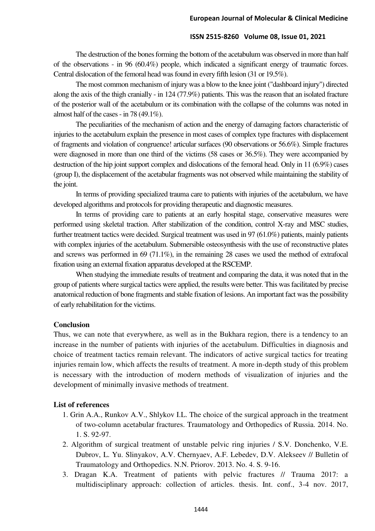The destruction of the bones forming the bottom of the acetabulum was observed in more than half of the observations - in 96 (60.4%) people, which indicated a significant energy of traumatic forces. Central dislocation of the femoral head was found in every fifth lesion (31 or 19.5%).

The most common mechanism of injury was a blow to the knee joint ("dashboard injury") directed along the axis of the thigh cranially - in 124 (77.9%) patients. This was the reason that an isolated fracture of the posterior wall of the acetabulum or its combination with the collapse of the columns was noted in almost half of the cases - in 78  $(49.1\%)$ .

The peculiarities of the mechanism of action and the energy of damaging factors characteristic of injuries to the acetabulum explain the presence in most cases of complex type fractures with displacement of fragments and violation of congruence! articular surfaces (90 observations or 56.6%). Simple fractures were diagnosed in more than one third of the victims (58 cases or 36.5%). They were accompanied by destruction of the hip joint support complex and dislocations of the femoral head. Only in 11 (6.9%) cases (group I), the displacement of the acetabular fragments was not observed while maintaining the stability of the joint.

In terms of providing specialized trauma care to patients with injuries of the acetabulum, we have developed algorithms and protocols for providing therapeutic and diagnostic measures.

In terms of providing care to patients at an early hospital stage, conservative measures were performed using skeletal traction. After stabilization of the condition, control X-ray and MSC studies, further treatment tactics were decided. Surgical treatment was used in 97 (61.0%) patients, mainly patients with complex injuries of the acetabulum. Submersible osteosynthesis with the use of reconstructive plates and screws was performed in 69 (71.1%), in the remaining 28 cases we used the method of extrafocal fixation using an external fixation apparatus developed at the RSCEMP.

When studying the immediate results of treatment and comparing the data, it was noted that in the group of patients where surgical tactics were applied, the results were better. This was facilitated by precise anatomical reduction of bone fragments and stable fixation of lesions. An important fact was the possibility of early rehabilitation for the victims.

# **Conclusion**

Thus, we can note that everywhere, as well as in the Bukhara region, there is a tendency to an increase in the number of patients with injuries of the acetabulum. Difficulties in diagnosis and choice of treatment tactics remain relevant. The indicators of active surgical tactics for treating injuries remain low, which affects the results of treatment. A more in-depth study of this problem is necessary with the introduction of modern methods of visualization of injuries and the development of minimally invasive methods of treatment.

# **List of references**

- 1. Grin A.A., Runkov A.V., Shlykov I.L. The choice of the surgical approach in the treatment of two-column acetabular fractures. Traumatology and Orthopedics of Russia. 2014. No. 1. S. 92-97.
- 2. Algorithm of surgical treatment of unstable pelvic ring injuries / S.V. Donchenko, V.E. Dubrov, L. Yu. Slinyakov, A.V. Chernyaev, A.F. Lebedev, D.V. Alekseev // Bulletin of Traumatology and Orthopedics. N.N. Priorov. 2013. No. 4. S. 9-16.
- 3. Dragan K.A. Treatment of patients with pelvic fractures // Trauma 2017: a multidisciplinary approach: collection of articles. thesis. Int. conf., 3-4 nov. 2017,